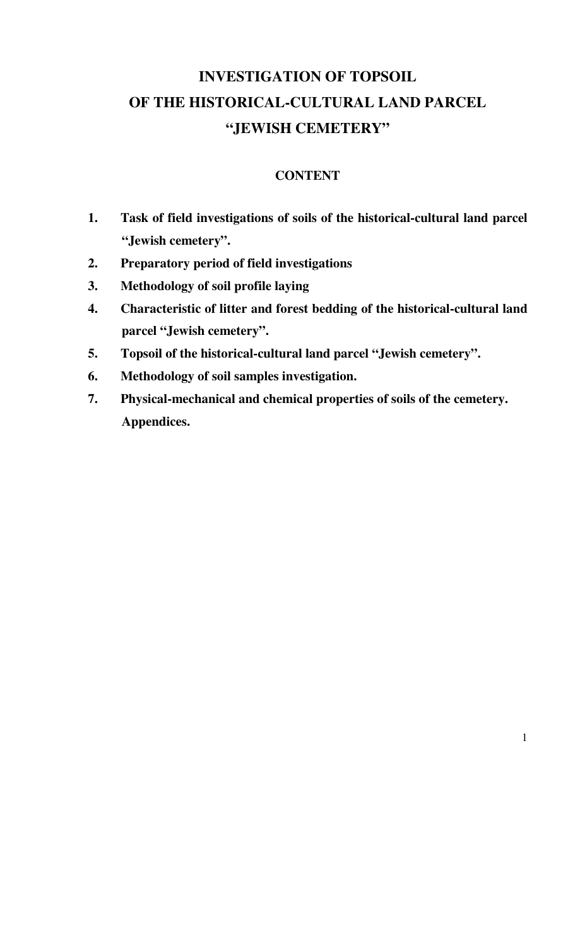# **INVESTIGATION OF TOPSOIL OF THE HISTORICAL-CULTURAL LAND PARCEL "JEWISH CEMETERY"**

## **CONTENT**

- **1. Task of field investigations of soils of the historical-cultural land parcel "Jewish cemetery".**
- **2. Preparatory period of field investigations**
- **3. Methodology of soil profile laying**
- **4. Characteristic of litter and forest bedding of the historical-cultural land parcel "Jewish cemetery".**
- **5. Topsoil of the historical-cultural land parcel "Jewish cemetery".**
- **6. Methodology of soil samples investigation.**
- **7. Physical-mechanical and chemical properties of soils of the cemetery. Appendices.**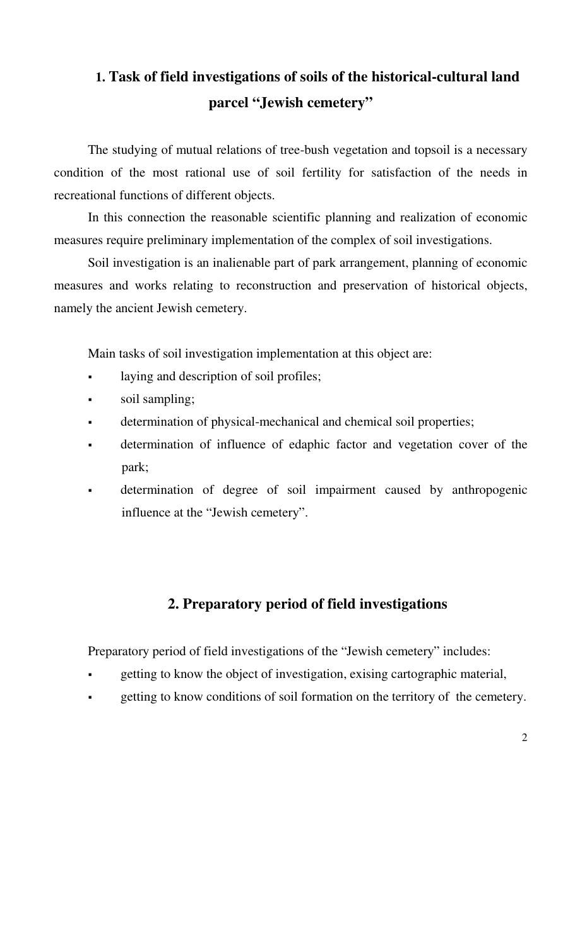# **1. Task of field investigations of soils of the historical-cultural land parcel "Jewish cemetery"**

The studying of mutual relations of tree-bush vegetation and topsoil is a necessary condition of the most rational use of soil fertility for satisfaction of the needs in recreational functions of different objects.

In this connection the reasonable scientific planning and realization of economic measures require preliminary implementation of the complex of soil investigations.

Soil investigation is an inalienable part of park arrangement, planning of economic measures and works relating to reconstruction and preservation of historical objects, namely the ancient Jewish cemetery.

Main tasks of soil investigation implementation at this object are:

- laying and description of soil profiles;
- soil sampling;
- determination of physical-mechanical and chemical soil properties;
- determination of influence of edaphic factor and vegetation cover of the park;
- determination of degree of soil impairment caused by anthropogenic influence at the "Jewish cemetery".

## **2. Preparatory period of field investigations**

Preparatory period of field investigations of the "Jewish cemetery" includes:

- getting to know the object of investigation, exising cartographic material,
- getting to know conditions of soil formation on the territory of the cemetery.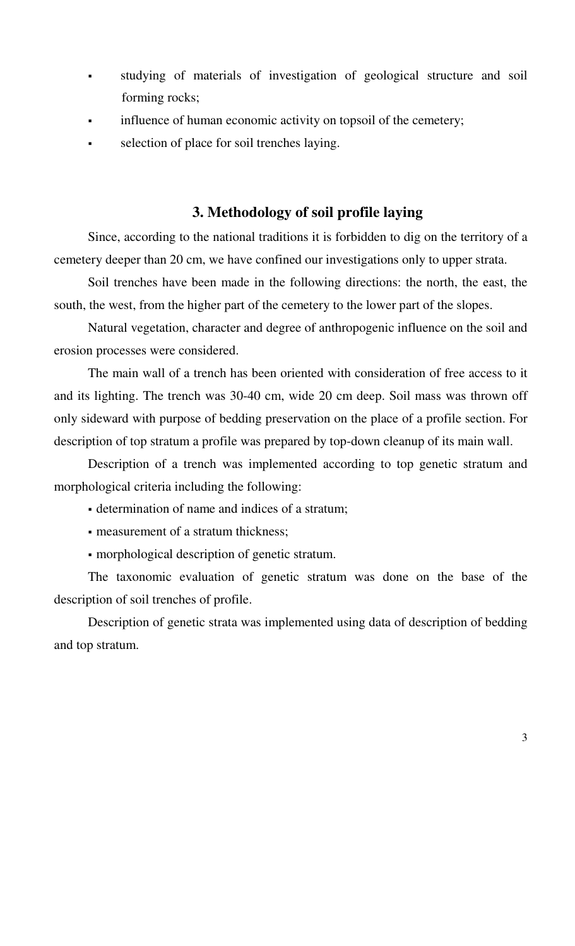- studying of materials of investigation of geological structure and soil forming rocks;
- influence of human economic activity on topsoil of the cemetery;
- selection of place for soil trenches laying.

## **3. Methodology of soil profile laying**

Since, according to the national traditions it is forbidden to dig on the territory of a cemetery deeper than 20 cm, we have confined our investigations only to upper strata.

Soil trenches have been made in the following directions: the north, the east, the south, the west, from the higher part of the cemetery to the lower part of the slopes.

Natural vegetation, character and degree of anthropogenic influence on the soil and erosion processes were considered.

The main wall of a trench has been oriented with consideration of free access to it and its lighting. The trench was 30-40 cm, wide 20 cm deep. Soil mass was thrown off only sideward with purpose of bedding preservation on the place of a profile section. For description of top stratum a profile was prepared by top-down cleanup of its main wall.

Description of a trench was implemented according to top genetic stratum and morphological criteria including the following:

- determination of name and indices of a stratum;
- measurement of a stratum thickness;
- morphological description of genetic stratum.

The taxonomic evaluation of genetic stratum was done on the base of the description of soil trenches of profile.

Description of genetic strata was implemented using data of description of bedding and top stratum.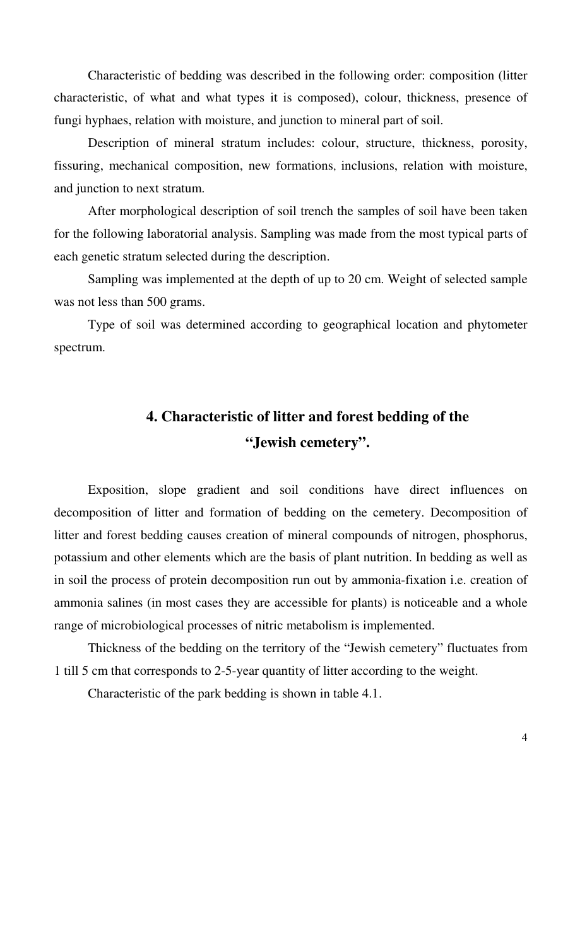Characteristic of bedding was described in the following order: composition (litter characteristic, of what and what types it is composed), colour, thickness, presence of fungi hyphaes, relation with moisture, and junction to mineral part of soil.

Description of mineral stratum includes: colour, structure, thickness, porosity, fissuring, mechanical composition, new formations, inclusions, relation with moisture, and junction to next stratum.

After morphological description of soil trench the samples of soil have been taken for the following laboratorial analysis. Sampling was made from the most typical parts of each genetic stratum selected during the description.

Sampling was implemented at the depth of up to 20 cm. Weight of selected sample was not less than 500 grams.

Type of soil was determined according to geographical location and phytometer spectrum.

# **4. Characteristic of litter and forest bedding of the "Jewish cemetery".**

Exposition, slope gradient and soil conditions have direct influences on decomposition of litter and formation of bedding on the cemetery. Decomposition of litter and forest bedding causes creation of mineral compounds of nitrogen, phosphorus, potassium and other elements which are the basis of plant nutrition. In bedding as well as in soil the process of protein decomposition run out by ammonia-fixation i.e. creation of ammonia salines (in most cases they are accessible for plants) is noticeable and a whole range of microbiological processes of nitric metabolism is implemented.

Thickness of the bedding on the territory of the "Jewish cemetery" fluctuates from 1 till 5 cm that corresponds to 2-5-year quantity of litter according to the weight.

Characteristic of the park bedding is shown in table 4.1.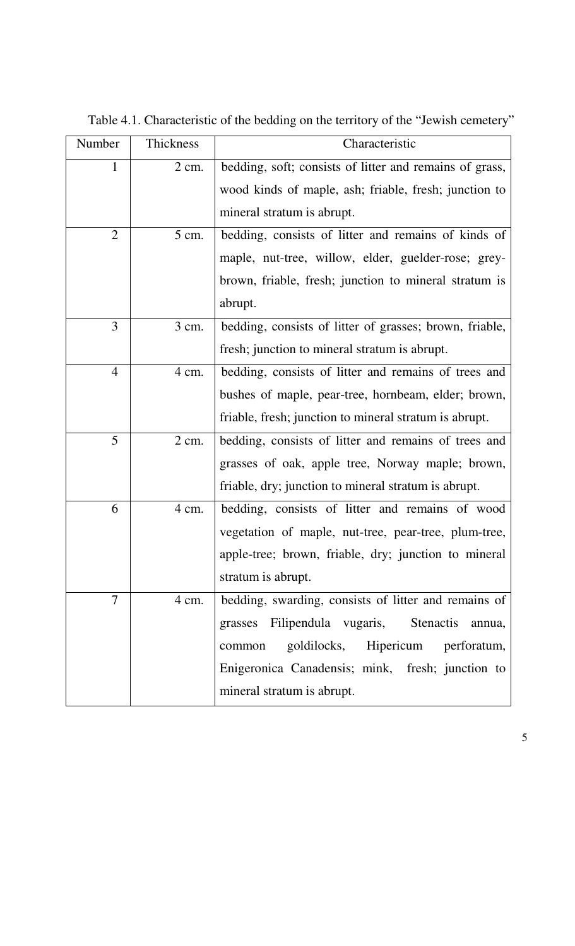| Number         | Thickness        | Characteristic                                          |  |  |  |  |  |
|----------------|------------------|---------------------------------------------------------|--|--|--|--|--|
| 1              | $2 \text{ cm}$ . | bedding, soft; consists of litter and remains of grass, |  |  |  |  |  |
|                |                  | wood kinds of maple, ash; friable, fresh; junction to   |  |  |  |  |  |
|                |                  | mineral stratum is abrupt.                              |  |  |  |  |  |
| $\overline{2}$ | $5 \text{ cm.}$  | bedding, consists of litter and remains of kinds of     |  |  |  |  |  |
|                |                  | maple, nut-tree, willow, elder, guelder-rose; grey-     |  |  |  |  |  |
|                |                  | brown, friable, fresh; junction to mineral stratum is   |  |  |  |  |  |
|                |                  | abrupt.                                                 |  |  |  |  |  |
| 3              | $3 \text{ cm}$ . | bedding, consists of litter of grasses; brown, friable, |  |  |  |  |  |
|                |                  | fresh; junction to mineral stratum is abrupt.           |  |  |  |  |  |
| $\overline{4}$ | 4 cm.            | bedding, consists of litter and remains of trees and    |  |  |  |  |  |
|                |                  | bushes of maple, pear-tree, hornbeam, elder; brown,     |  |  |  |  |  |
|                |                  | friable, fresh; junction to mineral stratum is abrupt.  |  |  |  |  |  |
| 5              | $2 \text{ cm}$ . | bedding, consists of litter and remains of trees and    |  |  |  |  |  |
|                |                  | grasses of oak, apple tree, Norway maple; brown,        |  |  |  |  |  |
|                |                  | friable, dry; junction to mineral stratum is abrupt.    |  |  |  |  |  |
| 6              | 4 cm.            | bedding, consists of litter and remains of wood         |  |  |  |  |  |
|                |                  | vegetation of maple, nut-tree, pear-tree, plum-tree,    |  |  |  |  |  |
|                |                  | apple-tree; brown, friable, dry; junction to mineral    |  |  |  |  |  |
|                |                  | stratum is abrupt.                                      |  |  |  |  |  |
| 7              | 4 cm.            | bedding, swarding, consists of litter and remains of    |  |  |  |  |  |
|                |                  | grasses Filipendula vugaris, Stenactis<br>annua,        |  |  |  |  |  |
|                |                  | goldilocks, Hipericum perforatum,<br>common             |  |  |  |  |  |
|                |                  | Enigeronica Canadensis; mink, fresh; junction to        |  |  |  |  |  |
|                |                  | mineral stratum is abrupt.                              |  |  |  |  |  |

Table 4.1. Characteristic of the bedding on the territory of the "Jewish cemetery"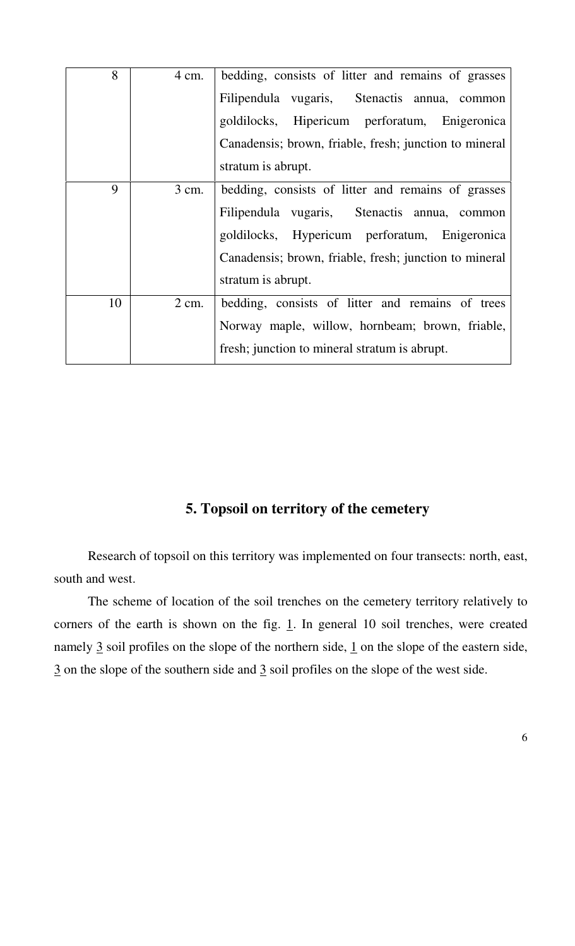| 8  | 4 cm.            | bedding, consists of litter and remains of grasses<br>Filipendula vugaris, Stenactis annua, common<br>goldilocks, Hipericum perforatum, Enigeronica<br>Canadensis; brown, friable, fresh; junction to mineral                       |
|----|------------------|-------------------------------------------------------------------------------------------------------------------------------------------------------------------------------------------------------------------------------------|
|    |                  | stratum is abrupt.                                                                                                                                                                                                                  |
| 9  | 3 cm.            | bedding, consists of litter and remains of grasses<br>Filipendula vugaris, Stenactis annua, common<br>goldilocks, Hypericum perforatum, Enigeronica<br>Canadensis; brown, friable, fresh; junction to mineral<br>stratum is abrupt. |
| 10 | $2 \text{ cm}$ . | bedding, consists of litter and remains of trees<br>Norway maple, willow, hornbeam; brown, friable,<br>fresh; junction to mineral stratum is abrupt.                                                                                |

## **5. Topsoil on territory of the cemetery**

Research of topsoil on this territory was implemented on four transects: north, east, south and west.

The scheme of location of the soil trenches on the cemetery territory relatively to corners of the earth is shown on the fig.  $\underline{1}$ . In general 10 soil trenches, were created namely  $\frac{3}{2}$  soil profiles on the slope of the northern side,  $\frac{1}{2}$  on the slope of the eastern side, 3 on the slope of the southern side and 3 soil profiles on the slope of the west side.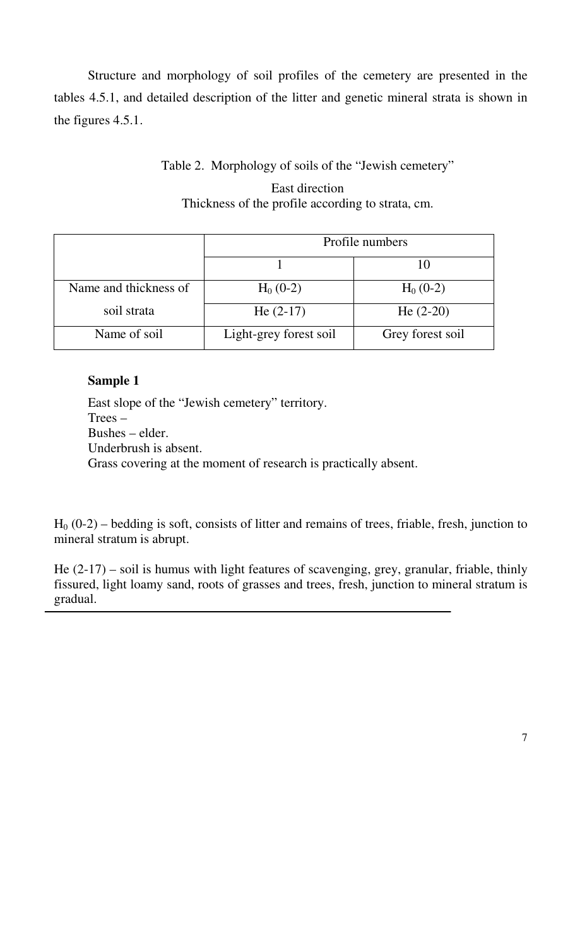Structure and morphology of soil profiles of the cemetery are presented in the tables 4.5.1, and detailed description of the litter and genetic mineral strata is shown in the figures 4.5.1.

## Table 2. Morphology of soils of the "Jewish cemetery"

## East direction Thickness of the profile according to strata, cm.

|                       | Profile numbers        |                  |  |  |  |
|-----------------------|------------------------|------------------|--|--|--|
|                       |                        |                  |  |  |  |
| Name and thickness of | $H_0$ (0-2)            | $H_0$ (0-2)      |  |  |  |
| soil strata           | He $(2-17)$            | He $(2-20)$      |  |  |  |
| Name of soil          | Light-grey forest soil | Grey forest soil |  |  |  |

## **Sample 1**

East slope of the "Jewish cemetery" territory. Trees – Bushes – elder. Underbrush is absent. Grass covering at the moment of research is practically absent.

 $H<sub>0</sub>$  (0-2) – bedding is soft, consists of litter and remains of trees, friable, fresh, junction to mineral stratum is abrupt.

He (2-17) – soil is humus with light features of scavenging, grey, granular, friable, thinly fissured, light loamy sand, roots of grasses and trees, fresh, junction to mineral stratum is gradual.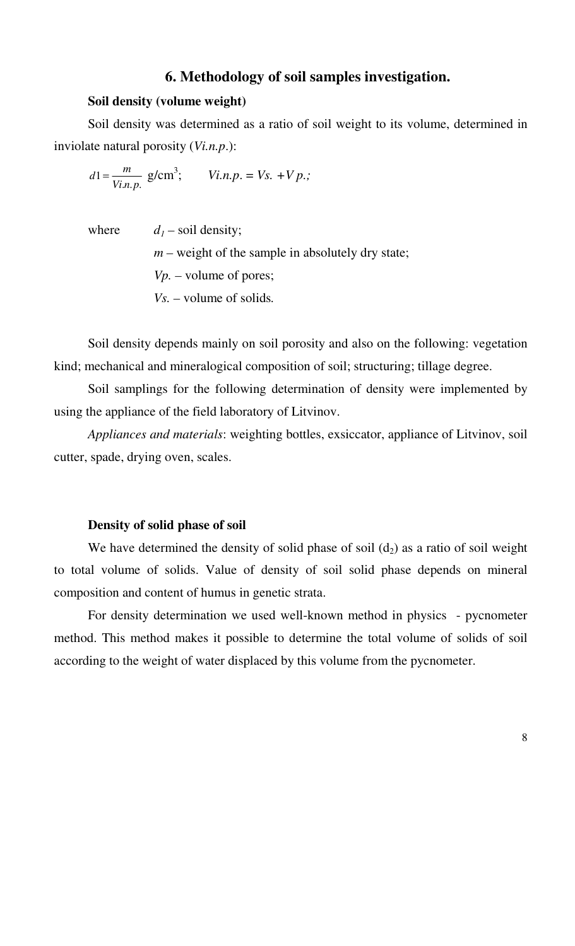## **6. Methodology of soil samples investigation.**

#### **Soil density (volume weight)**

Soil density was determined as a ratio of soil weight to its volume, determined in inviolate natural porosity (*Vi.n.p*.):

 $n.p.$ 1 *Vi n p*  $d1 = \frac{m}{V}$  g/cm<sup>3</sup>; *Vi.n.p.* = *Vs.* + *V p.;* 

where  $d_1$  – soil density;  $m$  – weight of the sample in absolutely dry state; *Vp. –* volume of pores; *Vs. –* volume of solids*.*

Soil density depends mainly on soil porosity and also on the following: vegetation kind; mechanical and mineralogical composition of soil; structuring; tillage degree.

Soil samplings for the following determination of density were implemented by using the appliance of the field laboratory of Litvinov.

*Appliances and materials*: weighting bottles, exsiccator, appliance of Litvinov, soil cutter, spade, drying oven, scales.

#### **Density of solid phase of soil**

We have determined the density of solid phase of soil  $(d_2)$  as a ratio of soil weight to total volume of solids. Value of density of soil solid phase depends on mineral composition and content of humus in genetic strata.

For density determination we used well-known method in physics - pycnometer method. This method makes it possible to determine the total volume of solids of soil according to the weight of water displaced by this volume from the pycnometer.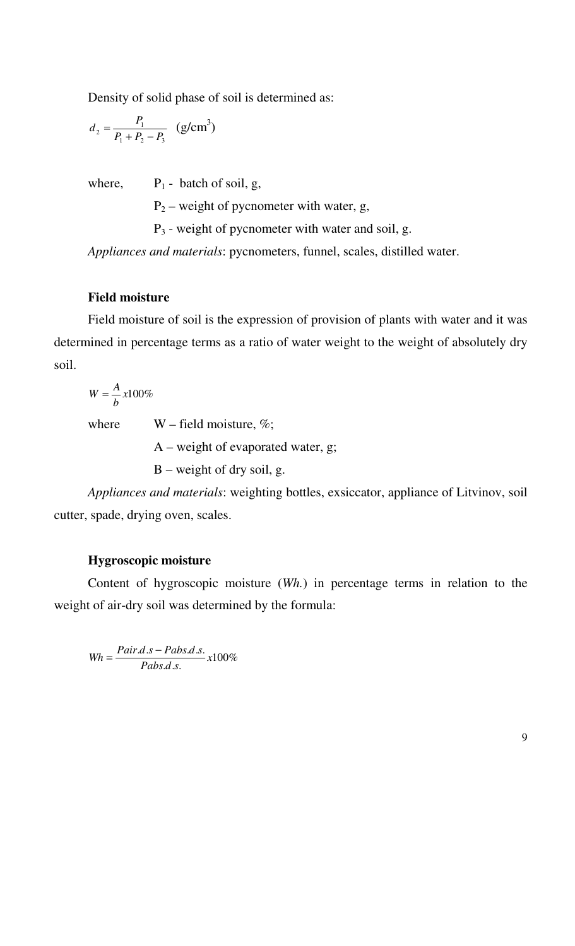Density of solid phase of soil is determined as:

$$
d_2 = \frac{P_1}{P_1 + P_2 - P_3} \quad (g/cm^3)
$$

where,  $P_1$  - batch of soil, g,

 $P_2$  – weight of pycnometer with water, g,

 $P_3$  - weight of pycnometer with water and soil, g.

*Appliances and materials*: pycnometers, funnel, scales, distilled water.

#### **Field moisture**

Field moisture of soil is the expression of provision of plants with water and it was determined in percentage terms as a ratio of water weight to the weight of absolutely dry soil.

*x*100% *b*  $W = \frac{A}{A}$ 

where  $W$  – field moisture, %;

A – weight of evaporated water, g;

B – weight of dry soil, g.

*Appliances and materials*: weighting bottles, exsiccator, appliance of Litvinov, soil cutter, spade, drying oven, scales.

#### **Hygroscopic moisture**

Content of hygroscopic moisture (*Wh.*) in percentage terms in relation to the weight of air-dry soil was determined by the formula:

100%  $d.s.$  $\frac{d.s - Pabs.d.s.}{x}$ *Pabs d s*  $Wh = \frac{Pair.d.s - Pabs.d.s}{P}$ 

9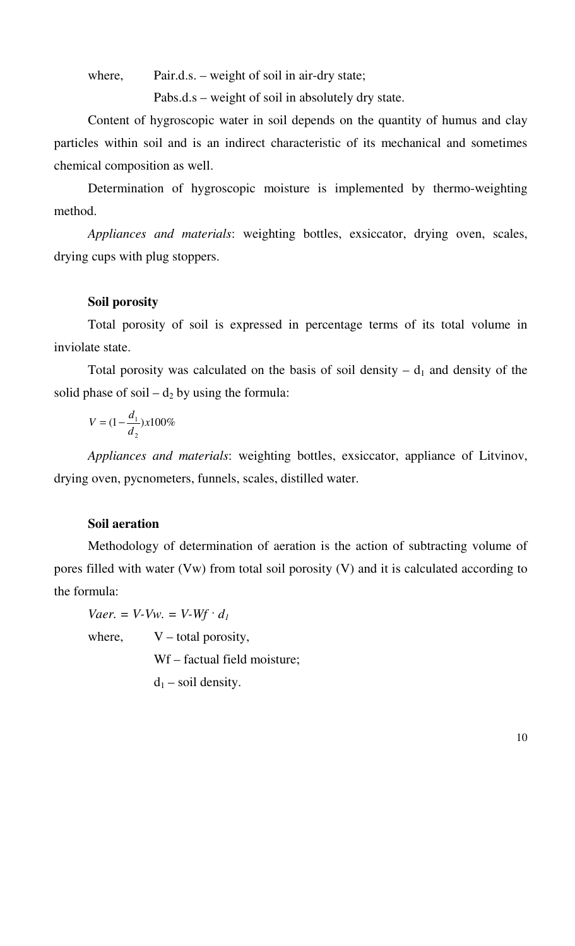where, Pair.d.s. – weight of soil in air-dry state;

Pabs.d.s – weight of soil in absolutely dry state.

Content of hygroscopic water in soil depends on the quantity of humus and clay particles within soil and is an indirect characteristic of its mechanical and sometimes chemical composition as well.

Determination of hygroscopic moisture is implemented by thermo-weighting method.

*Appliances and materials*: weighting bottles, exsiccator, drying oven, scales, drying cups with plug stoppers.

#### **Soil porosity**

Total porosity of soil is expressed in percentage terms of its total volume in inviolate state.

Total porosity was calculated on the basis of soil density  $- d_1$  and density of the solid phase of soil –  $d_2$  by using the formula:

$$
V = (1 - \frac{d_1}{d_2}) \times 100\%
$$

*Appliances and materials*: weighting bottles, exsiccator, appliance of Litvinov, drying oven, pycnometers, funnels, scales, distilled water.

#### **Soil aeration**

Methodology of determination of aeration is the action of subtracting volume of pores filled with water (Vw) from total soil porosity (V) and it is calculated according to the formula:

*Vaer.* = *V*-*Vw.* = *V*-*Wf*  $\cdot$  *d<sub>1</sub>* 

where,  $V -$  total porosity,

Wf – factual field moisture;

 $d_1$  – soil density.

10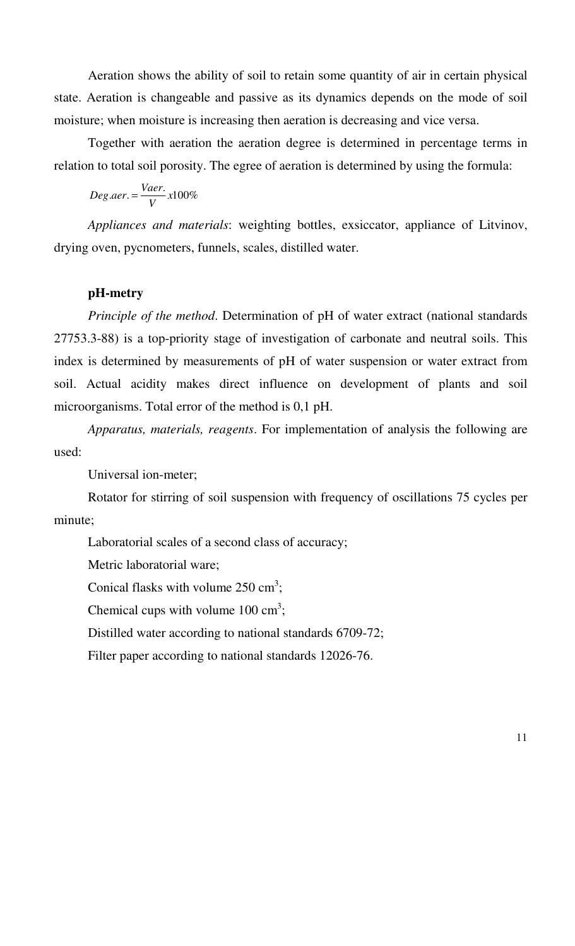Aeration shows the ability of soil to retain some quantity of air in certain physical state. Aeration is changeable and passive as its dynamics depends on the mode of soil moisture; when moisture is increasing then aeration is decreasing and vice versa.

Together with aeration the aeration degree is determined in percentage terms in relation to total soil porosity. The egree of aeration is determined by using the formula:

 $. aer. = \frac{V aer.}{V} x 100\%$ *V*  $Deg aer = \frac{Vaer}{V}$ 

*Appliances and materials*: weighting bottles, exsiccator, appliance of Litvinov, drying oven, pycnometers, funnels, scales, distilled water.

## **pH-metry**

*Principle of the method*. Determination of pH of water extract (national standards 27753.3-88) is a top-priority stage of investigation of carbonate and neutral soils. This index is determined by measurements of pH of water suspension or water extract from soil. Actual acidity makes direct influence on development of plants and soil microorganisms. Total error of the method is 0,1 pH.

*Apparatus, materials, reagents*. For implementation of analysis the following are used:

Universal ion-meter;

Rotator for stirring of soil suspension with frequency of oscillations 75 cycles per minute;

Laboratorial scales of a second class of accuracy;

Metric laboratorial ware;

Conical flasks with volume  $250 \text{ cm}^3$ ;

Chemical cups with volume  $100 \text{ cm}^3$ ;

Distilled water according to national standards 6709-72;

Filter paper according to national standards 12026-76.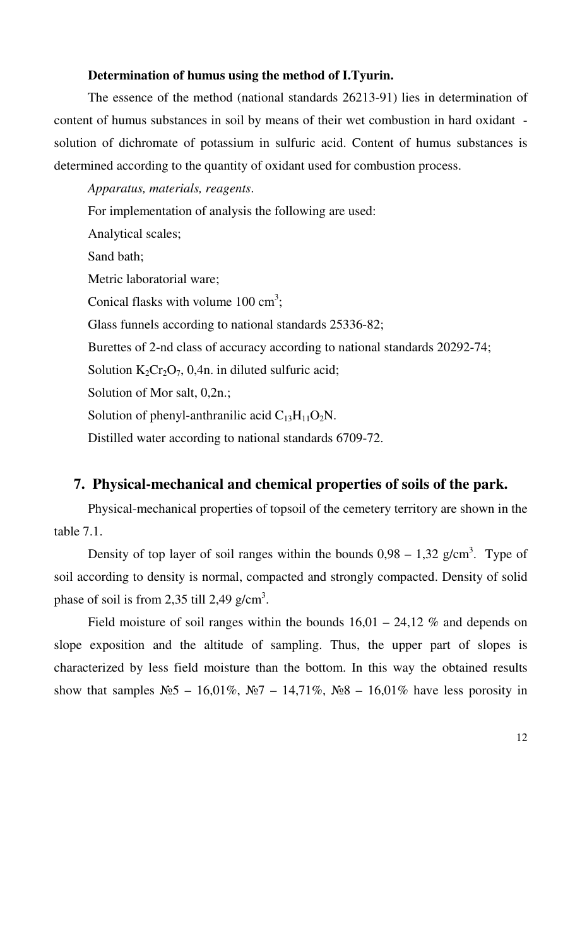#### **Determination of humus using the method of I.Tyurin.**

The essence of the method (national standards 26213-91) lies in determination of content of humus substances in soil by means of their wet combustion in hard oxidant solution of dichromate of potassium in sulfuric acid. Content of humus substances is determined according to the quantity of oxidant used for combustion process.

*Apparatus, materials, reagents*. For implementation of analysis the following are used: Analytical scales; Sand bath; Metric laboratorial ware; Conical flasks with volume  $100 \text{ cm}^3$ ; Glass funnels according to national standards 25336-82; Burettes of 2-nd class of accuracy according to national standards 20292-74; Solution  $K_2Cr_2O_7$ , 0,4n. in diluted sulfuric acid; Solution of Mor salt, 0,2n.; Solution of phenyl-anthranilic acid  $C_{13}H_{11}O_2N$ . Distilled water according to national standards 6709-72.

### **7. Physical-mechanical and chemical properties of soils of the park.**

Physical-mechanical properties of topsoil of the cemetery territory are shown in the table 7.1.

Density of top layer of soil ranges within the bounds  $0.98 - 1.32$  g/cm<sup>3</sup>. Type of soil according to density is normal, compacted and strongly compacted. Density of solid phase of soil is from 2,35 till 2,49 g/cm<sup>3</sup>.

Field moisture of soil ranges within the bounds  $16,01 - 24,12$  % and depends on slope exposition and the altitude of sampling. Thus, the upper part of slopes is characterized by less field moisture than the bottom. In this way the obtained results show that samples  $N_2$  – 16,01%,  $N_2$  – 14,71%,  $N_2$ 8 – 16,01% have less porosity in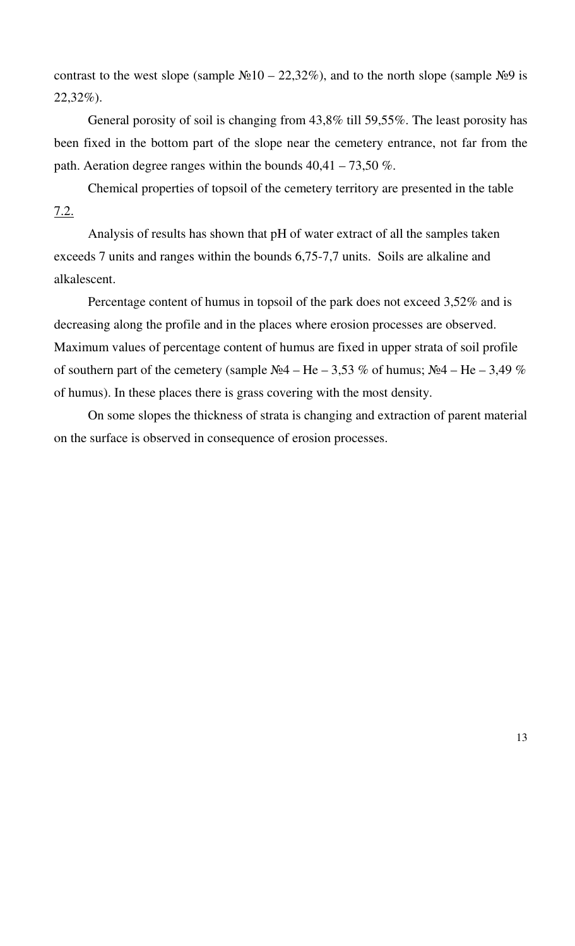contrast to the west slope (sample  $\mathbb{N} \cdot 10 - 22,32\%$ ), and to the north slope (sample  $\mathbb{N} \cdot 9$  is 22,32%).

General porosity of soil is changing from 43,8% till 59,55%. The least porosity has been fixed in the bottom part of the slope near the cemetery entrance, not far from the path. Aeration degree ranges within the bounds  $40,41 - 73,50\%$ .

Chemical properties of topsoil of the cemetery territory are presented in the table 7.2.

Analysis of results has shown that pH of water extract of all the samples taken exceeds 7 units and ranges within the bounds 6,75-7,7 units. Soils are alkaline and alkalescent.

Percentage content of humus in topsoil of the park does not exceed 3,52% and is decreasing along the profile and in the places where erosion processes are observed. Maximum values of percentage content of humus are fixed in upper strata of soil profile of southern part of the cemetery (sample  $N_24 - He - 3.53 \%$  of humus;  $N_24 - He - 3.49 \%$ of humus). In these places there is grass covering with the most density.

On some slopes the thickness of strata is changing and extraction of parent material on the surface is observed in consequence of erosion processes.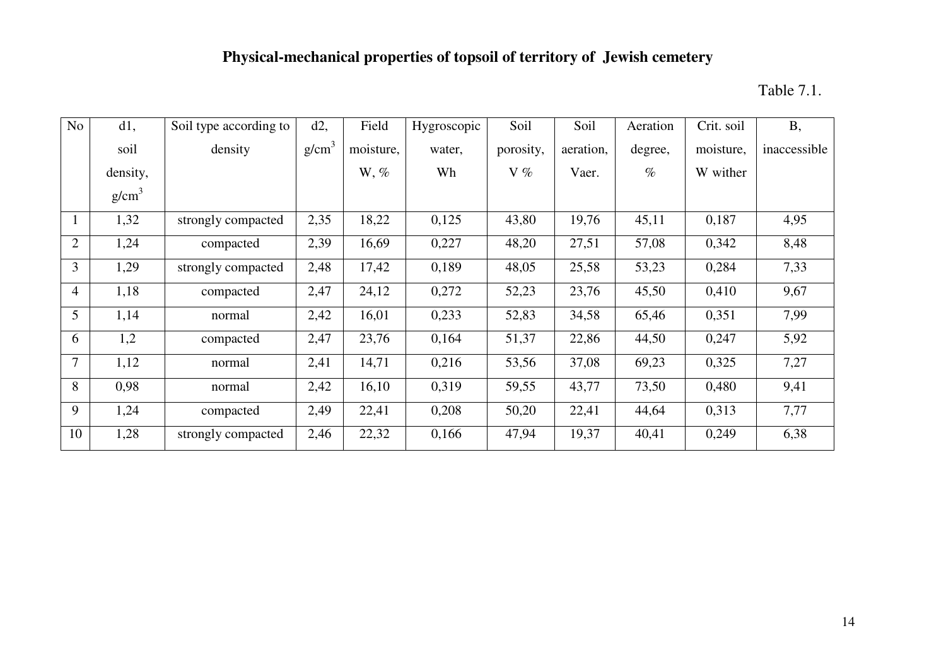## **Physical-mechanical properties of topsoil of territory of Jewish cemetery**

Table 7.1.

| No             | d1,      | Soil type according to | $d2$ ,            | Field     | Hygroscopic | Soil      | Soil      | Aeration | Crit. soil | <b>B</b> ,   |
|----------------|----------|------------------------|-------------------|-----------|-------------|-----------|-----------|----------|------------|--------------|
|                | soil     | density                | g/cm <sup>3</sup> | moisture, | water,      | porosity, | aeration, | degree,  | moisture,  | inaccessible |
|                | density, |                        |                   | $W, \%$   | Wh          | $V\%$     | Vaer.     | $\%$     | W wither   |              |
|                | $g/cm^3$ |                        |                   |           |             |           |           |          |            |              |
|                | 1,32     | strongly compacted     | 2,35              | 18,22     | 0,125       | 43,80     | 19,76     | 45,11    | 0,187      | 4,95         |
| $\overline{2}$ | 1,24     | compacted              | 2,39              | 16,69     | 0,227       | 48,20     | 27,51     | 57,08    | 0,342      | 8,48         |
| 3              | 1,29     | strongly compacted     | 2,48              | 17,42     | 0,189       | 48,05     | 25,58     | 53,23    | 0,284      | 7,33         |
| 4              | 1,18     | compacted              | 2,47              | 24,12     | 0,272       | 52,23     | 23,76     | 45,50    | 0,410      | 9,67         |
| 5              | 1,14     | normal                 | 2,42              | 16,01     | 0,233       | 52,83     | 34,58     | 65,46    | 0,351      | 7,99         |
| 6              | 1,2      | compacted              | 2,47              | 23,76     | 0,164       | 51,37     | 22,86     | 44,50    | 0,247      | 5,92         |
| $\tau$         | 1,12     | normal                 | 2,41              | 14,71     | 0,216       | 53,56     | 37,08     | 69,23    | 0,325      | 7,27         |
| 8              | 0,98     | normal                 | 2,42              | 16,10     | 0,319       | 59,55     | 43,77     | 73,50    | 0,480      | 9,41         |
| 9              | 1,24     | compacted              | 2,49              | 22,41     | 0,208       | 50,20     | 22,41     | 44,64    | 0,313      | 7,77         |
| 10             | 1,28     | strongly compacted     | 2,46              | 22,32     | 0,166       | 47,94     | 19,37     | 40,41    | 0,249      | 6,38         |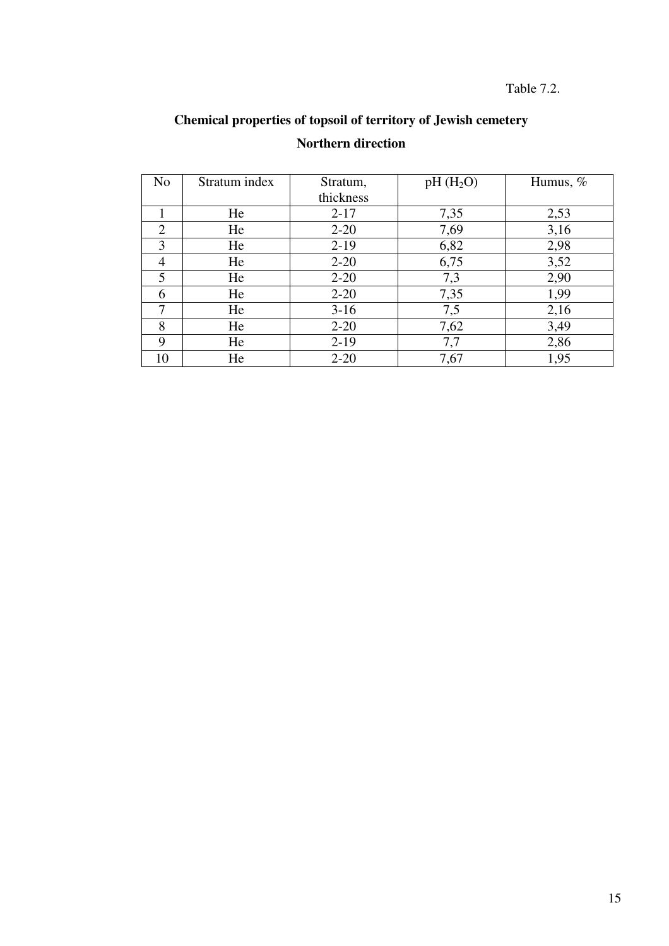## **Chemical properties of topsoil of territory of Jewish cemetery Northern direction**

| N <sub>o</sub> | Stratum index | Stratum,  | $pH(H_2O)$ |      |
|----------------|---------------|-----------|------------|------|
|                |               | thickness |            |      |
|                | He            | $2 - 17$  | 7,35       | 2,53 |
| 2              | He            | $2 - 20$  | 7,69       | 3,16 |
| 3              | He            | $2-19$    | 6,82       | 2,98 |
| 4              | He            | $2 - 20$  | 6,75       | 3,52 |
| 5              | He            | $2 - 20$  | 7,3        | 2,90 |
| 6              | He            | $2 - 20$  | 7,35       | 1,99 |
| 7              | He            | $3-16$    | 7,5        | 2,16 |
| 8              | He            | $2 - 20$  | 7,62       | 3,49 |
| 9              | He            | $2-19$    | 7,7        | 2,86 |
| 10             | He            | $2 - 20$  | 7,67       | 1,95 |